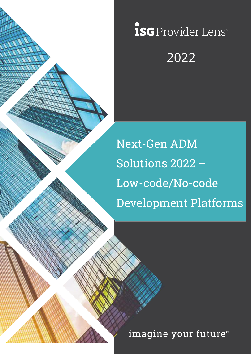

# ISG Provider Lens 2022

Next-Gen ADM Solutions 2022 – Low-code/No-code Development Platforms

imagine your future®

Copyright © 2019, Information Services Group, Inc. All Rights Reserved. 1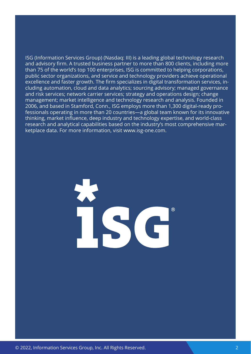ISG (Information Services Group) (Nasdaq: III) is a leading global technology research and advisory firm. A trusted business partner to more than 800 clients, including more than 75 of the world's top 100 enterprises, ISG is committed to helping corporations, public sector organizations, and service and technology providers achieve operational excellence and faster growth. The firm specializes in digital transformation services, including automation, cloud and data analytics; sourcing advisory; managed governance and risk services; network carrier services; strategy and operations design; change management; market intelligence and technology research and analysis. Founded in 2006, and based in Stamford, Conn., ISG employs more than 1,300 digital-ready professionals operating in more than 20 countries—a global team known for its innovative thinking, market influence, deep industry and technology expertise, and world-class research and analytical capabilities based on the industry's most comprehensive marketplace data. For more information, visit [www.isg-one.com](http://www.isg-one.com).

 $(R)$ 

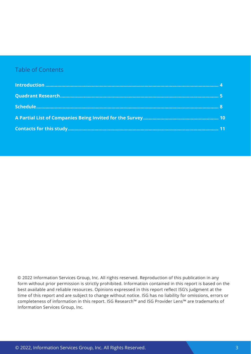#### Table of Contents

 © 2022 Information Services Group, Inc. All rights reserved. Reproduction of this publication in any form without prior permission is strictly prohibited. Information contained in this report is based on the best available and reliable resources. Opinions expressed in this report reflect ISG's judgment at the time of this report and are subject to change without notice. ISG has no liability for omissions, errors or completeness of information in this report. ISG Research™ and ISG Provider Lens™ are trademarks of Information Services Group, Inc.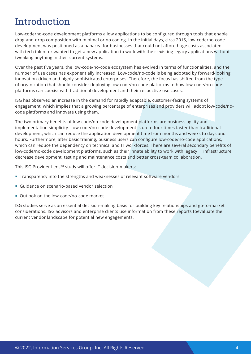### <span id="page-3-0"></span>Introduction

Low-code/no-code development platforms allow applications to be configured through tools that enable drag-and-drop composition with minimal or no coding. In the initial days, circa 2015, low-code/no-code development was positioned as a panacea for businesses that could not afford huge costs associated with tech talent or wanted to get a new application to work with their existing legacy applications without tweaking anything in their current systems.

Over the past five years, the low-code/no-code ecosystem has evolved in terms of functionalities, and the number of use cases has exponentially increased. Low-code/no-code is being adopted by forward-looking, innovation-driven and highly sophisticated enterprises. Therefore, the focus has shifted from the type of organization that should consider deploying low-code/no-code platforms to how low-code/no-code platforms can coexist with traditional development and their respective use cases.

ISG has observed an increase in the demand for rapidly adaptable, customer-facing systems of engagement, which implies that a growing percentage of enterprises and providers will adopt low-code/nocode platforms and innovate using them.

The two primary benefits of low-code/no-code development platforms are business agility and implementation simplicity. Low-code/no-code development is up to four times faster than traditional development, which can reduce the application development time from months and weeks to days and hours. Furthermore, after basic training, business users can configure low-code/no-code applications, which can reduce the dependency on technical and IT workforces. There are several secondary benefits of low-code/no-code development platforms, such as their innate ability to work with legacy IT infrastructure, decrease development, testing and maintenance costs and better cross-team collaboration.

This ISG Provider Lens™ study will offer IT decision-makers:

- **Transparency into the strengths and weaknesses of relevant software vendors**
- Guidance on scenario-based vendor selection
- Outlook on the low-code/no-code market

ISG studies serve as an essential decision-making basis for building key relationships and go-to-market considerations. ISG advisors and enterprise clients use information from these reports toevaluate the current vendor landscape for potential new engagements.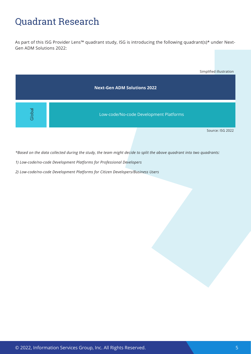### <span id="page-4-0"></span>Quadrant Research

As part of this ISG Provider Lens™ quadrant study, ISG is introducing the following quadrant(s)\* under Next-Gen ADM Solutions 2022:



Source: ISG 2022

*\*Based on the data collected during the study, the team might decide to split the above quadrant into two quadrants:* 

*1) Low-code/no-code Development Platforms for Professional Developers*

*2) Low-code/no-code Development Platforms for Citizen Developers/Business Users*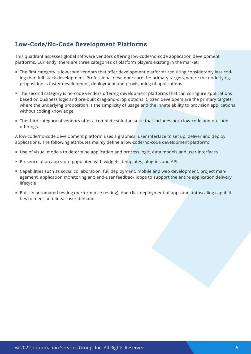### **Low-Code/No-Code Development Platforms**

This quadrant assesses global software vendors offering low-code/no-code application development platforms. Currently, there are three categories of platform players existing in the market:

- The first category is low-code vendors that offer development platforms requiring considerably less coding than full-stack development. Professional developers are the primary targets, where the underlying proposition is faster development, deployment and provisioning of applications.
- **The second category is no-code vendors offering development platforms that can configure applications** based on business logic and pre-built drag-and-drop options. Citizen developers are the primary targets, where the underlying proposition is the simplicity of usage and the innate ability to provision applications without coding knowledge.
- The third category of vendors offer a complete solution suite that includes both low-code and no-code offerings.

A low-code/no-code development platform uses a graphical user interface to set up, deliver and deploy applications. The following attributes mainly define a low-code/no-code development platform:

- Use of visual models to determine application and process logic, data models and user interfaces
- Presence of an app store populated with widgets, templates, plug-ins and APIs
- Capabilities such as social collaboration, full deployment, mobile and web development, project management, application monitoring and end-user feedback loops to support the entire application delivery lifecycle
- Built-in automated testing (performance testing), one-click deployment of apps and autoscaling capabilities to meet non-linear user demand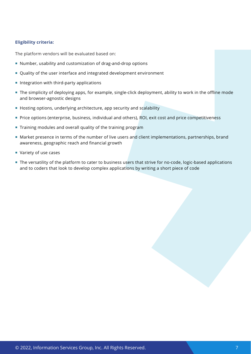#### **Eligibility criteria:**

The platform vendors will be evaluated based on:

- Number, usability and customization of drag-and-drop options
- Quality of the user interface and integrated development environment
- $\blacksquare$  Integration with third-party applications
- The simplicity of deploying apps, for example, single-click deployment, ability to work in the offline mode and browser-agnostic designs
- Hosting options, underlying architecture, app security and scalability
- **Price options (enterprise, business, individual and others), ROI, exit cost and price competitiveness**
- **Training modules and overall quality of the training program**
- Market presence in terms of the number of live users and client implementations, partnerships, brand awareness, geographic reach and financial growth
- Variety of use cases
- The versatility of the platform to cater to business users that strive for no-code, logic-based applications and to coders that look to develop complex applications by writing a short piece of code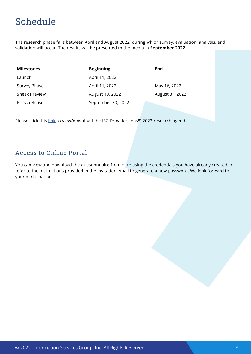## <span id="page-7-0"></span>Schedule

The research phase falls between April and August 2022, during which survey, evaluation, analysis, and validation will occur. The results will be presented to the media in **September 2022.**

| <b>Milestones</b> | <b>Beginning</b>   | End             |
|-------------------|--------------------|-----------------|
| Launch            | April 11, 2022     |                 |
| Survey Phase      | April 11, 2022     | May 16, 2022    |
| Sneak Preview     | August 10, 2022    | August 31, 2022 |
| Press release     | September 30, 2022 |                 |

Please click this [link](https://isg-one.com/docs/default-source/default-document-library/ipl_annual_plan_2022.pdf) to view/download the ISG Provider Lens™ 2022 research agenda.

#### Access to Online Portal

You can view and download the questionnaire from [here](https://iplportal.isg-one.com/login) using the credentials you have already created, or refer to the instructions provided in the invitation email to generate a new password. We look forward to your participation!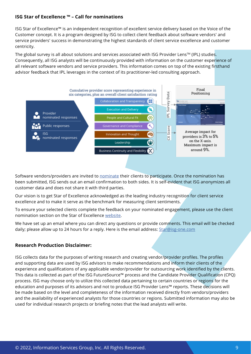#### **ISG Star of Excellence ™ – Call for nominations**

ISG Star of Excellence™ is an independent recognition of excellent service delivery based on the Voice of the Customer concept. It is a program designed by ISG to collect client feedback about software vendors' and service providers' success in demonstrating the highest standards of client service excellence and customer centricity.

The global survey is all about solutions and services associated with ISG Provider Lens™ (IPL) studies. Consequently, all ISG analysts will be continuously provided with information on the customer experience of all relevant software vendors and service providers. This information comes on top of the existing firsthand advisor feedback that IPL leverages in the context of its practitioner-led consulting approach.



Software vendors/providers are invited to **[nominate](https://isg-one.com/providers/star-of-excellence/nominate) their clients to participate**. Once the nomination has been submitted, ISG sends out an email confirmation to both sides. It is self-evident that ISG anonymizes all customer data and does not share it with third parties.

Our vision is to get Star of Excellence acknowledged as the leading industry recognition for client service excellence and to make it serve as the benchmark for measuring client sentiments.

To ensure your selected clients complete the feedback on your nominated engagement, please use the client nomination section on the Star of Excellence [website.](https://isg-one.com/providers/star-of-excellence)

We have set up an email where you can direct any questions or provide comments. This email will be checked daily; please allow up to 24 hours for a reply. Here is the email address: [Star@isg-one.com](mailto:Star@isg-one.com)

#### **Research Production Disclaimer:**

ISG collects data for the purposes of writing research and creating vendor/provider profiles. The profiles and supporting data are used by ISG advisors to make recommendations and inform their clients of the experience and qualifications of any applicable vendor/provider for outsourcing work identified by the clients. This data is collected as part of the ISG FutureSource™ process and the Candidate Provider Qualification (CPQ) process. ISG may choose only to utilize this collected data pertaining to certain countries or regions for the education and purposes of its advisors and not to produce ISG Provider Lens™ reports. These decisions will be made based on the level and completeness of the information received directly from vendors/providers and the availability of experienced analysts for those countries or regions. Submitted information may also be used for individual research projects or briefing notes that the lead analysts will write.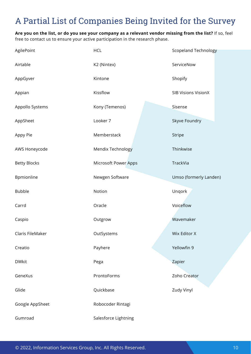### <span id="page-9-0"></span>A Partial List of Companies Being Invited for the Survey

**Are you on the list, or do you see your company as a relevant vendor missing from the list?** If so, feel free to contact us to ensure your active participation in the research phase.

| AgilePoint          | <b>HCL</b>                  | <b>Scopeland Technology</b> |
|---------------------|-----------------------------|-----------------------------|
| Airtable            | K2 (Nintex)                 | ServiceNow                  |
| AppGyver            | Kintone                     | Shopify                     |
| Appian              | Kissflow                    | <b>SIB Visions VisionX</b>  |
| Appollo Systems     | Kony (Temenos)              | Sisense                     |
| AppSheet            | Looker 7                    | Skyve Foundry               |
| Appy Pie            | Memberstack                 | Stripe                      |
| AWS Honeycode       | Mendix Technology           | Thinkwise                   |
| <b>Betty Blocks</b> | <b>Microsoft Power Apps</b> | TrackVia                    |
| Bpmionline          | Newgen Software             | Umso (formerly Landen)      |
| <b>Bubble</b>       | Notion                      | Unqork                      |
| Carrd               | Oracle                      | Voiceflow                   |
| Caspio              | Outgrow                     | Wavemaker                   |
| Claris FileMaker    | OutSystems                  | Wix Editor X                |
| Creatio             | Payhere                     | Yellowfin 9                 |
| <b>DWkit</b>        | Pega                        | Zapier                      |
| GeneXus             | ProntoForms                 | Zoho Creator                |
| Glide               | Quickbase                   | Zudy Vinyl                  |
| Google AppSheet     | Robocoder Rintagi           |                             |
| Gumroad             | Salesforce Lightning        |                             |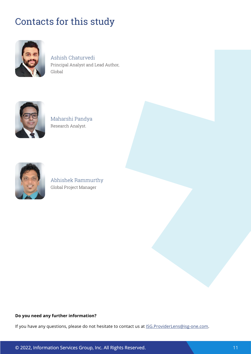## <span id="page-10-0"></span>Contacts for this study



Ashish Chaturvedi Principal Analyst and Lead Author, Global



Maharshi Pandya Research Analyst.



Global Project Manager

#### **Do you need any further information?**

If you have any questions, please do not hesitate to contact us at **ISG.ProviderLens@isg-one.com**.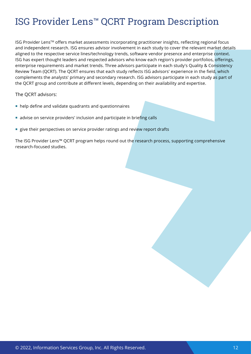### ISG Provider Lens™ QCRT Program Description

ISG Provider Lens™ offers market assessments incorporating practitioner insights, reflecting regional focus and independent research. ISG ensures advisor involvement in each study to cover the relevant market details aligned to the respective service lines/technology trends, software vendor presence and enterprise context. ISG has expert thought leaders and respected advisors who know each region's provider portfolios, offerings, enterprise requirements and market trends. Three advisors participate in each study's Quality & Consistency Review Team (QCRT). The QCRT ensures that each study reflects ISG advisors' experience in the field, which complements the analysts' primary and secondary research. ISG advisors participate in each study as part of the QCRT group and contribute at different levels, depending on their availability and expertise.

The QCRT advisors:

- help define and validate quadrants and questionnaires
- advise on service providers' inclusion and participate in briefing calls
- **EX give their perspectives on service provider ratings and review report drafts**

The ISG Provider Lens™ QCRT program helps round out the research process, supporting comprehensive research-focused studies.